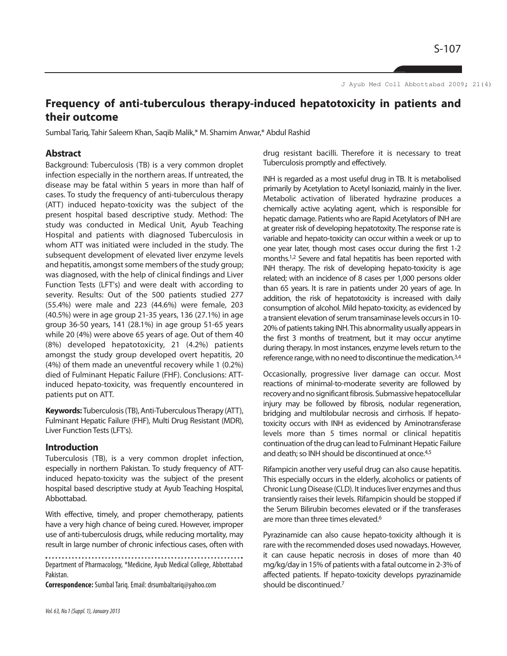S-107

J Ayub Med Coll Abbottabad 2009; 21(4)

# **Frequency of anti-tuberculous therapy-induced hepatotoxicity in patients and their outcome**

Sumbal Tariq, Tahir Saleem Khan, Saqib Malik,\* M. Shamim Anwar,\* Abdul Rashid

#### **Abstract**

Background: Tuberculosis (TB) is a very common droplet infection especially in the northern areas. If untreated, the disease may be fatal within 5 years in more than half of cases. To study the frequency of anti-tuberculous therapy (ATT) induced hepato-toxicity was the subject of the present hospital based descriptive study. Method: The study was conducted in Medical Unit, Ayub Teaching Hospital and patients with diagnosed Tuberculosis in whom ATT was initiated were included in the study. The subsequent development of elevated liver enzyme levels and hepatitis, amongst some members of the study group; was diagnosed, with the help of clinical findings and Liver Function Tests (LFT's) and were dealt with according to severity. Results: Out of the 500 patients studied 277 (55.4%) were male and 223 (44.6%) were female, 203 (40.5%) were in age group 21-35 years, 136 (27.1%) in age group 36-50 years, 141 (28.1%) in age group 51-65 years while 20 (4%) were above 65 years of age. Out of them 40 (8%) developed hepatotoxicity, 21 (4.2%) patients amongst the study group developed overt hepatitis, 20 (4%) of them made an uneventful recovery while 1 (0.2%) died of Fulminant Hepatic Failure (FHF). Conclusions: ATTinduced hepato-toxicity, was frequently encountered in patients put on ATT.

**Keywords:** Tuberculosis (TB), Anti-Tuberculous Therapy (ATT), Fulminant Hepatic Failure (FHF), Multi Drug Resistant (MDR), Liver Function Tests (LFT's).

## **Introduction**

Tuberculosis (TB), is a very common droplet infection, especially in northern Pakistan. To study frequency of ATTinduced hepato-toxicity was the subject of the present hospital based descriptive study at Ayub Teaching Hospital, Abbottabad.

With effective, timely, and proper chemotherapy, patients have a very high chance of being cured. However, improper use of anti-tuberculosis drugs, while reducing mortality, may result in large number of chronic infectious cases, often with

Department of Pharmacology, \*Medicine, Ayub Medical College, Abbottabad Pakistan.

**Correspondence:**Sumbal Tariq. Email: drsumbaltariq@yahoo.com

drug resistant bacilli. Therefore it is necessary to treat Tuberculosis promptly and effectively.

INH is regarded as a most useful drug in TB. It is metabolised primarily by Acetylation to Acetyl Isoniazid, mainly in the liver. Metabolic activation of liberated hydrazine produces a chemically active acylating agent, which is responsible for hepatic damage. Patients who are Rapid Acetylators of INH are at greater risk of developing hepatotoxity. The response rate is variable and hepato-toxicity can occur within a week or up to one year later, though most cases occur during the first 1-2 months.1,2 Severe and fatal hepatitis has been reported with INH therapy. The risk of developing hepato-toxicity is age related; with an incidence of 8 cases per 1,000 persons older than 65 years. It is rare in patients under 20 years of age. In addition, the risk of hepatotoxicity is increased with daily consumption of alcohol. Mild hepato-toxicity, as evidenced by a transient elevation of serum transaminase levels occurs in 10- 20% of patients taking INH. This abnormality usually appears in the first 3 months of treatment, but it may occur anytime during therapy. In most instances, enzyme levels return to the reference range, with no need to discontinue the medication.3,4

Occasionally, progressive liver damage can occur. Most reactions of minimal-to-moderate severity are followed by recovery and no significant fibrosis. Submassive hepatocellular injury may be followed by fibrosis, nodular regeneration, bridging and multilobular necrosis and cirrhosis. If hepatotoxicity occurs with INH as evidenced by Aminotransferase levels more than 5 times normal or clinical hepatitis continuation of the drug can lead to Fulminant Hepatic Failure and death; so INH should be discontinued at once.<sup>4,5</sup>

Rifampicin another very useful drug can also cause hepatitis. This especially occurs in the elderly, alcoholics or patients of Chronic Lung Disease (CLD). It induces liver enzymes and thus transiently raises their levels. Rifampicin should be stopped if the Serum Bilirubin becomes elevated or if the transferases are more than three times elevated.<sup>6</sup>

Pyrazinamide can also cause hepato-toxicity although it is rare with the recommended doses used nowadays. However, it can cause hepatic necrosis in doses of more than 40 mg/kg/day in 15% of patients with a fatal outcome in 2-3% of affected patients. If hepato-toxicity develops pyrazinamide should be discontinued.<sup>7</sup>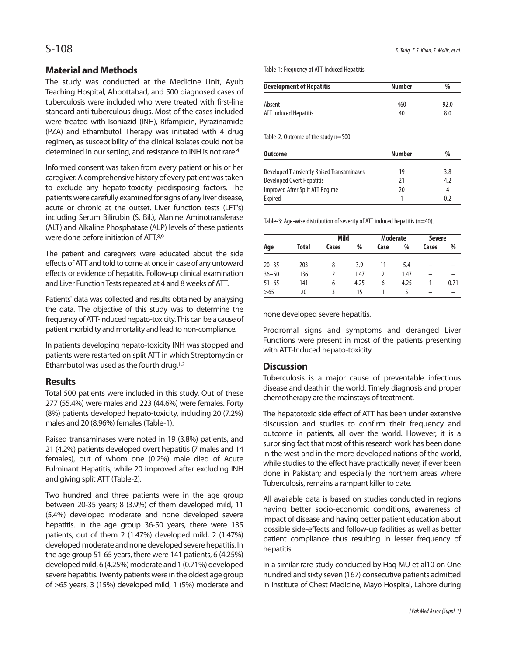## **Material and Methods**

The study was conducted at the Medicine Unit, Ayub Teaching Hospital, Abbottabad, and 500 diagnosed cases of tuberculosis were included who were treated with first-line standard anti-tuberculous drugs. Most of the cases included were treated with Isoniazid (INH), Rifampicin, Pyrazinamide (PZA) and Ethambutol. Therapy was initiated with 4 drug regimen, as susceptibility of the clinical isolates could not be determined in our setting, and resistance to INH is not rare.<sup>4</sup>

Informed consent was taken from every patient or his or her caregiver. A comprehensive history of every patient was taken to exclude any hepato-toxicity predisposing factors. The patients were carefully examined for signs of any liver disease, acute or chronic at the outset. Liver function tests (LFT's) including Serum Bilirubin (S. Bil.), Alanine Aminotransferase (ALT) and Alkaline Phosphatase (ALP) levels of these patients were done before initiation of ATT.8,9

The patient and caregivers were educated about the side effects of ATT and told to come at once in case of any untoward effects or evidence of hepatitis. Follow-up clinical examination and Liver Function Tests repeated at 4 and 8 weeks of ATT.

Patients' data was collected and results obtained by analysing the data. The objective of this study was to determine the frequency of ATT-induced hepato-toxicity. This can be a cause of patient morbidity and mortality and lead to non-compliance.

In patients developing hepato-toxicity INH was stopped and patients were restarted on split ATT in which Streptomycin or Ethambutol was used as the fourth drug.1,2

## **Results**

Total 500 patients were included in this study. Out of these 277 (55.4%) were males and 223 (44.6%) were females. Forty (8%) patients developed hepato-toxicity, including 20 (7.2%) males and 20 (8.96%) females (Table-1).

Raised transaminases were noted in 19 (3.8%) patients, and 21 (4.2%) patients developed overt hepatitis (7 males and 14 females), out of whom one (0.2%) male died of Acute Fulminant Hepatitis, while 20 improved after excluding INH and giving split ATT (Table-2).

Two hundred and three patients were in the age group between 20-35 years; 8 (3.9%) of them developed mild, 11 (5.4%) developed moderate and none developed severe hepatitis. In the age group 36-50 years, there were 135 patients, out of them 2 (1.47%) developed mild, 2 (1.47%) developed moderate and none developed severe hepatitis. In the age group 51-65 years, there were 141 patients, 6 (4.25%) developed mild, 6 (4.25%) moderate and 1 (0.71%) developed severe hepatitis. Twenty patients were in the oldest age group of >65 years, 3 (15%) developed mild, 1 (5%) moderate and Table-1: Frequency of ATT-Induced Hepatitis.

| <b>Development of Hepatitis</b> | <b>Number</b> | $\frac{0}{0}$ |  |
|---------------------------------|---------------|---------------|--|
| Absent                          | 460           | 92.0          |  |
| ATT Induced Hepatitis           | 40            | 8.0           |  |

Table-2: Outcome of the study n=500.

| Outcome                                    | <b>Number</b> | $\%$ |
|--------------------------------------------|---------------|------|
| Developed Transiently Raised Transaminases | 19            | 3.8  |
| Developed Overt Hepatitis                  | 21            | 4.2  |
| Improved After Split ATT Regime            | 20            | 4    |
| Expired                                    |               | 02   |

Table-3: Age-wise distribution of severity of ATT induced hepatitis (n=40).

|           |       | Mild  |      | <b>Moderate</b> |      | <b>Severe</b> |      |
|-----------|-------|-------|------|-----------------|------|---------------|------|
| Age       | Total | Cases | %    | Case            | %    | Cases         | %    |
| $20 - 35$ | 203   | 8     | 3.9  | 11              | 5.4  |               |      |
| $36 - 50$ | 136   | 2     | 1.47 |                 | 1.47 |               |      |
| $51 - 65$ | 141   | 6     | 4.25 | 6               | 4.25 |               | 0.71 |
| >65       | 20    | 3     | 15   |                 |      |               |      |

none developed severe hepatitis.

Prodromal signs and symptoms and deranged Liver Functions were present in most of the patients presenting with ATT-Induced hepato-toxicity.

# **Discussion**

Tuberculosis is a major cause of preventable infectious disease and death in the world. Timely diagnosis and proper chemotherapy are the mainstays of treatment.

The hepatotoxic side effect of ATT has been under extensive discussion and studies to confirm their frequency and outcome in patients, all over the world. However, it is a surprising fact that most of this research work has been done in the west and in the more developed nations of the world, while studies to the effect have practically never, if ever been done in Pakistan; and especially the northern areas where Tuberculosis, remains a rampant killer to date.

All available data is based on studies conducted in regions having better socio-economic conditions, awareness of impact of disease and having better patient education about possible side-effects and follow-up facilities as well as better patient compliance thus resulting in lesser frequency of hepatitis.

In a similar rare study conducted by Haq MU et al10 on One hundred and sixty seven (167) consecutive patients admitted in Institute of Chest Medicine, Mayo Hospital, Lahore during